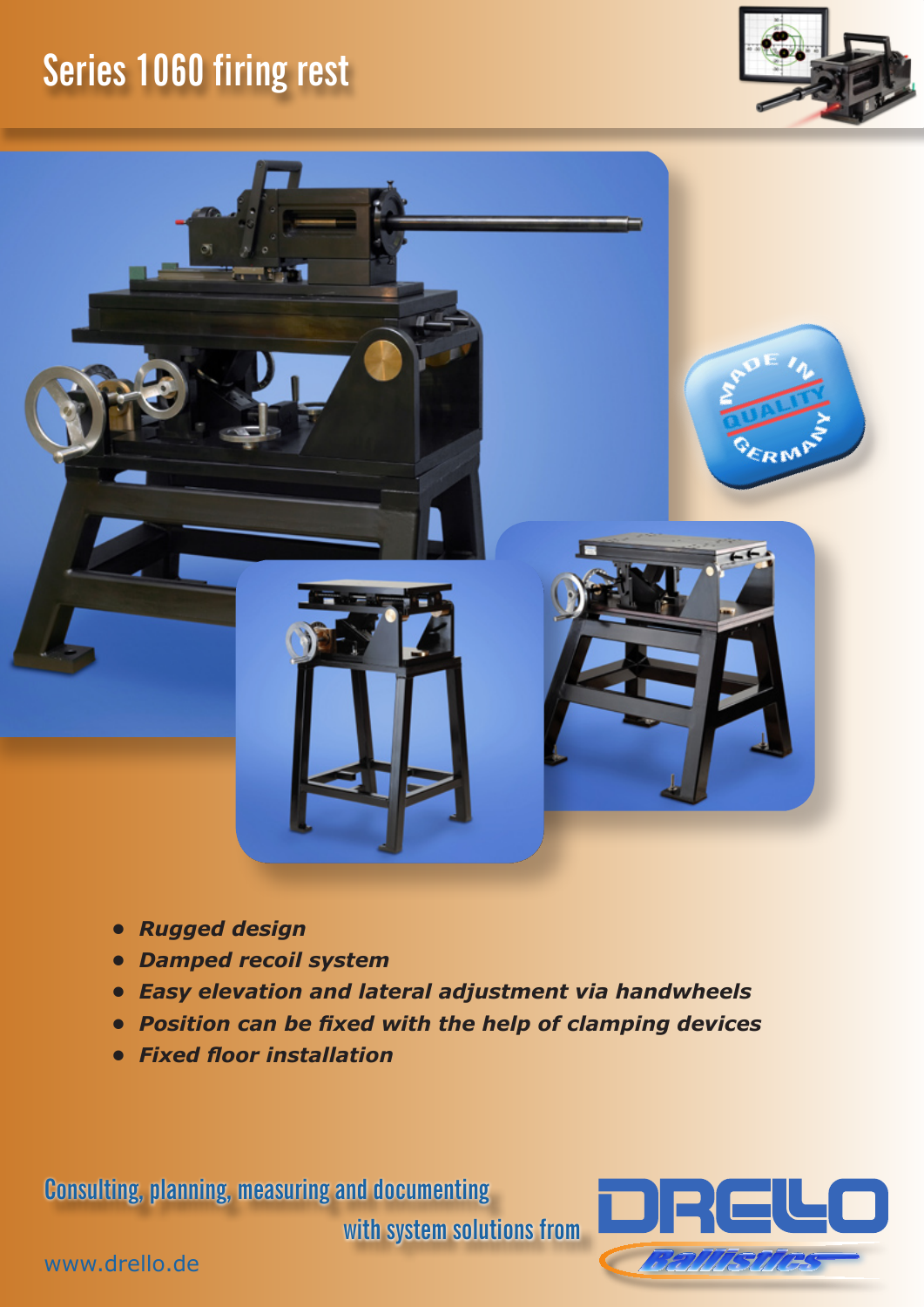## **Series 1060 firing rest**





- *• Rugged design*
- *• Damped recoil system*
- *• Easy elevation and lateral adjustment via handwheels*
- *• Position can be fixed with the help of clamping devices*
- *• Fixed floor installation*

**Consulting, planning, measuring and documenting** 

**with system solutions from**



www.drello.de